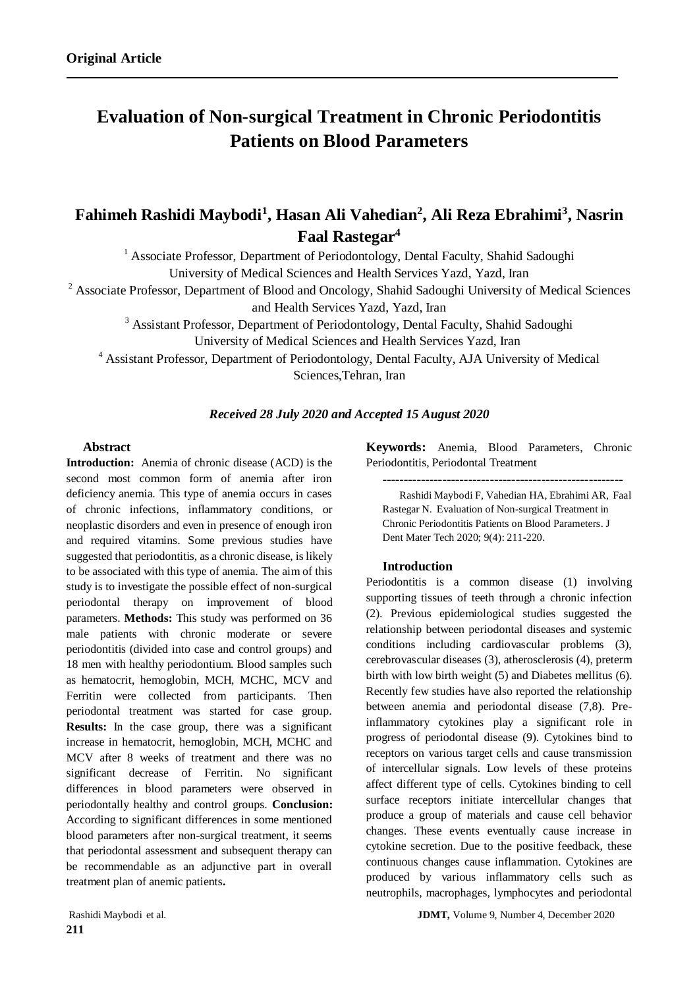# **Evaluation of Non-surgical Treatment in Chronic Periodontitis Patients on Blood Parameters**

# **Fahimeh Rashidi Maybodi<sup>1</sup> , Hasan Ali Vahedian<sup>2</sup> , Ali Reza Ebrahimi<sup>3</sup> , Nasrin Faal Rastegar<sup>4</sup>**

<sup>1</sup> Associate Professor, Department of Periodontology, Dental Faculty, Shahid Sadoughi University of Medical Sciences and Health Services Yazd, Yazd, Iran

<sup>2</sup> Associate Professor, Department of Blood and Oncology, Shahid Sadoughi University of Medical Sciences

and Health Services Yazd, Yazd, Iran

<sup>3</sup> Assistant Professor, Department of Periodontology, Dental Faculty, Shahid Sadoughi

University of Medical Sciences and Health Services Yazd, Iran

<sup>4</sup> Assistant Professor, Department of Periodontology, Dental Faculty, AJA University of Medical Sciences,Tehran, Iran

# *Received 28 July 2020 and Accepted 15 August 2020*

# **Abstract**

**Introduction:** Anemia of chronic disease (ACD) is the second most common form of anemia after iron deficiency anemia. This type of anemia occurs in cases of chronic infections, inflammatory conditions, or neoplastic disorders and even in presence of enough iron and required vitamins. Some previous studies have suggested that periodontitis, as a chronic disease, is likely to be associated with this type of anemia. The aim of this study is to investigate the possible effect of non-surgical periodontal therapy on improvement of blood parameters. **Methods:** This study was performed on 36 male patients with chronic moderate or severe periodontitis (divided into case and control groups) and 18 men with healthy periodontium. Blood samples such as hematocrit, hemoglobin, MCH, MCHC, MCV and Ferritin were collected from participants. Then periodontal treatment was started for case group. **Results:** In the case group, there was a significant increase in hematocrit, hemoglobin, MCH, MCHC and MCV after 8 weeks of treatment and there was no significant decrease of Ferritin. No significant differences in blood parameters were observed in periodontally healthy and control groups. **Conclusion:** According to significant differences in some mentioned blood parameters after non-surgical treatment, it seems that periodontal assessment and subsequent therapy can be recommendable as an adjunctive part in overall treatment plan of anemic patients**.**

**Keywords:** Anemia, Blood Parameters, Chronic Periodontitis, Periodontal Treatment

--------------------------------------------------------

Rashidi Maybodi F, Vahedian HA, Ebrahimi AR, Faal Rastegar N. Evaluation of Non-surgical Treatment in Chronic Periodontitis Patients on Blood Parameters. J Dent Mater Tech 2020; 9(4): 211-220.

# **Introduction**

Periodontitis is a common disease (1) involving supporting tissues of teeth through a chronic infection (2). Previous epidemiological studies suggested the relationship between periodontal diseases and systemic conditions including cardiovascular problems (3), cerebrovascular diseases (3), atherosclerosis (4), preterm birth with low birth weight (5) and Diabetes mellitus (6). Recently few studies have also reported the relationship between anemia and periodontal disease (7,8). Preinflammatory cytokines play a significant role in progress of periodontal disease (9). Cytokines bind to receptors on various target cells and cause transmission of intercellular signals. Low levels of these proteins affect different type of cells. Cytokines binding to cell surface receptors initiate intercellular changes that produce a group of materials and cause cell behavior changes. These events eventually cause increase in cytokine secretion. Due to the positive feedback, these continuous changes cause inflammation. Cytokines are produced by various inflammatory cells such as neutrophils, macrophages, lymphocytes and periodontal

Rashidi Maybodi et al. **JDMT,** Volume 9, Number 4, December 2020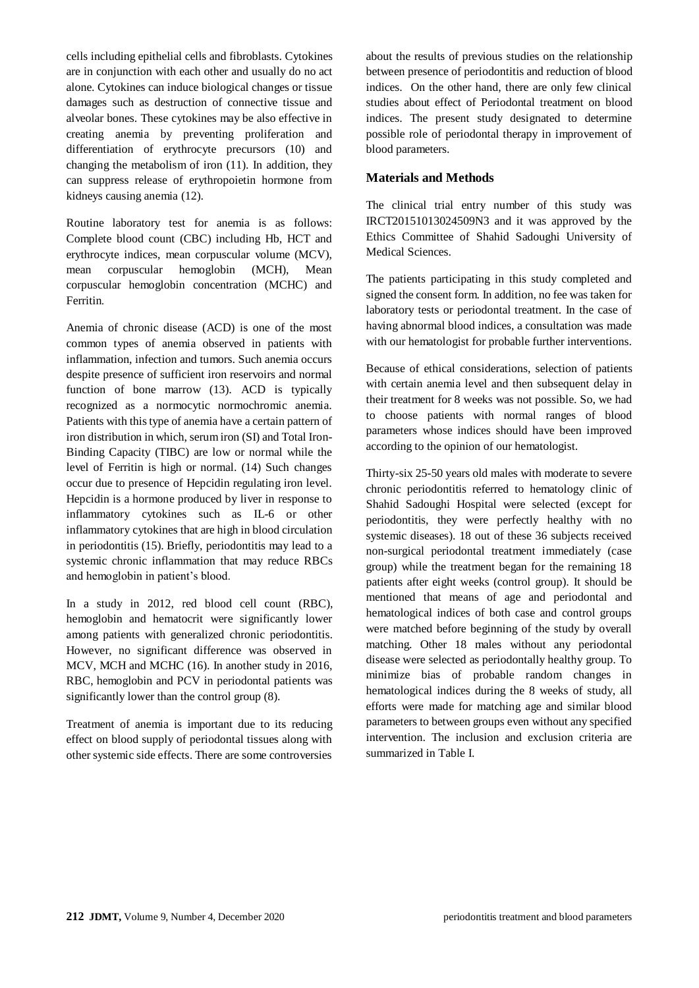cells including epithelial cells and fibroblasts. Cytokines are in conjunction with each other and usually do no act alone. Cytokines can induce biological changes or tissue damages such as destruction of connective tissue and alveolar bones. These cytokines may be also effective in creating anemia by preventing proliferation and differentiation of erythrocyte precursors (10) and changing the metabolism of iron (11). In addition, they can suppress release of erythropoietin hormone from kidneys causing anemia (12).

Routine laboratory test for anemia is as follows: Complete blood count (CBC) including Hb, HCT and erythrocyte indices, mean corpuscular volume (MCV), mean corpuscular hemoglobin (MCH), Mean corpuscular hemoglobin concentration (MCHC) and Ferritin.

Anemia of chronic disease (ACD) is one of the most common types of anemia observed in patients with inflammation, infection and tumors. Such anemia occurs despite presence of sufficient iron reservoirs and normal function of bone marrow (13). ACD is typically recognized as a normocytic normochromic anemia. Patients with this type of anemia have a certain pattern of iron distribution in which, serum iron (SI) and Total Iron-Binding Capacity (TIBC) are low or normal while the level of Ferritin is high or normal. (14) Such changes occur due to presence of Hepcidin regulating iron level. Hepcidin is a hormone produced by liver in response to inflammatory cytokines such as IL-6 or other inflammatory cytokines that are high in blood circulation in periodontitis (15). Briefly, periodontitis may lead to a systemic chronic inflammation that may reduce RBCs and hemoglobin in patient's blood.

In a study in 2012, red blood cell count (RBC), hemoglobin and hematocrit were significantly lower among patients with generalized chronic periodontitis. However, no significant difference was observed in MCV, MCH and MCHC (16). In another study in 2016, RBC, hemoglobin and PCV in periodontal patients was significantly lower than the control group (8).

Treatment of anemia is important due to its reducing effect on blood supply of periodontal tissues along with other systemic side effects. There are some controversies about the results of previous studies on the relationship between presence of periodontitis and reduction of blood indices. On the other hand, there are only few clinical studies about effect of Periodontal treatment on blood indices. The present study designated to determine possible role of periodontal therapy in improvement of blood parameters.

# **Materials and Methods**

The clinical trial entry number of this study was IRCT20151013024509N3 and it was approved by the Ethics Committee of Shahid Sadoughi University of Medical Sciences.

The patients participating in this study completed and signed the consent form. In addition, no fee was taken for laboratory tests or periodontal treatment. In the case of having abnormal blood indices, a consultation was made with our hematologist for probable further interventions.

Because of ethical considerations, selection of patients with certain anemia level and then subsequent delay in their treatment for 8 weeks was not possible. So, we had to choose patients with normal ranges of blood parameters whose indices should have been improved according to the opinion of our hematologist.

Thirty-six 25-50 years old males with moderate to severe chronic periodontitis referred to hematology clinic of Shahid Sadoughi Hospital were selected (except for periodontitis, they were perfectly healthy with no systemic diseases). 18 out of these 36 subjects received non-surgical periodontal treatment immediately (case group) while the treatment began for the remaining 18 patients after eight weeks (control group). It should be mentioned that means of age and periodontal and hematological indices of both case and control groups were matched before beginning of the study by overall matching. Other 18 males without any periodontal disease were selected as periodontally healthy group. To minimize bias of probable random changes in hematological indices during the 8 weeks of study, all efforts were made for matching age and similar blood parameters to between groups even without any specified intervention. The inclusion and exclusion criteria are summarized in Table I.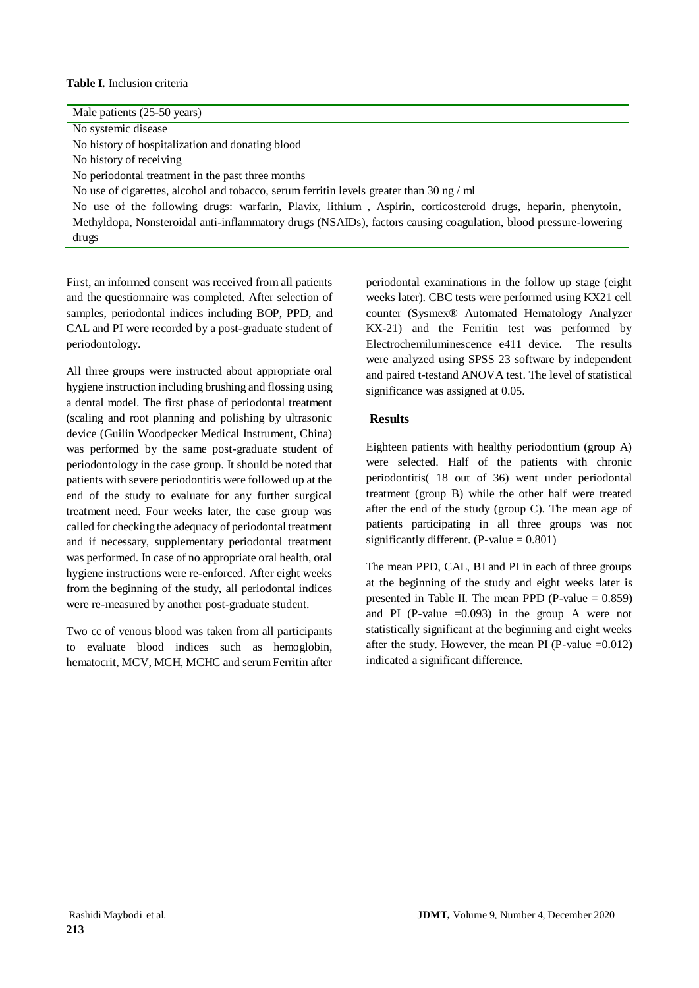#### **Table I.** Inclusion criteria

| Male patients (25-50 years)                                                                                     |
|-----------------------------------------------------------------------------------------------------------------|
| No systemic disease                                                                                             |
| No history of hospitalization and donating blood                                                                |
| No history of receiving                                                                                         |
| No periodontal treatment in the past three months                                                               |
| No use of cigarettes, alcohol and tobacco, serum ferritin levels greater than 30 ng / ml                        |
| No use of the following drugs: warfarin, Plavix, lithium, Aspirin, corticosteroid drugs, heparin, phenytoin,    |
| Methyldopa, Nonsteroidal anti-inflammatory drugs (NSAIDs), factors causing coagulation, blood pressure-lowering |
| drugs                                                                                                           |

First, an informed consent was received from all patients and the questionnaire was completed. After selection of samples, periodontal indices including BOP, PPD, and CAL and PI were recorded by a post-graduate student of periodontology.

All three groups were instructed about appropriate oral hygiene instruction including brushing and flossing using a dental model. The first phase of periodontal treatment (scaling and root planning and polishing by ultrasonic device (Guilin Woodpecker Medical Instrument, China) was performed by the same post-graduate student of periodontology in the case group. It should be noted that patients with severe periodontitis were followed up at the end of the study to evaluate for any further surgical treatment need. Four weeks later, the case group was called for checking the adequacy of periodontal treatment and if necessary, supplementary periodontal treatment was performed. In case of no appropriate oral health, oral hygiene instructions were re-enforced. After eight weeks from the beginning of the study, all periodontal indices were re-measured by another post-graduate student.

Two cc of venous blood was taken from all participants to evaluate blood indices such as hemoglobin, hematocrit, MCV, MCH, MCHC and serum Ferritin after periodontal examinations in the follow up stage (eight weeks later). CBC tests were performed using KX21 cell counter (Sysmex® Automated Hematology Analyzer KX-21) and the Ferritin test was performed by Electrochemiluminescence e411 device. The results were analyzed using SPSS 23 software by independent and paired t-testand ANOVA test. The level of statistical significance was assigned at 0.05.

# **Results**

Eighteen patients with healthy periodontium (group A) were selected. Half of the patients with chronic periodontitis) 18 out of 36) went under periodontal treatment (group B) while the other half were treated after the end of the study (group C). The mean age of patients participating in all three groups was not significantly different.  $(P-value = 0.801)$ 

The mean PPD, CAL, BI and PI in each of three groups at the beginning of the study and eight weeks later is presented in Table II. The mean PPD (P-value  $= 0.859$ ) and PI (P-value  $=0.093$ ) in the group A were not statistically significant at the beginning and eight weeks after the study. However, the mean PI (P-value  $=0.012$ ) indicated a significant difference.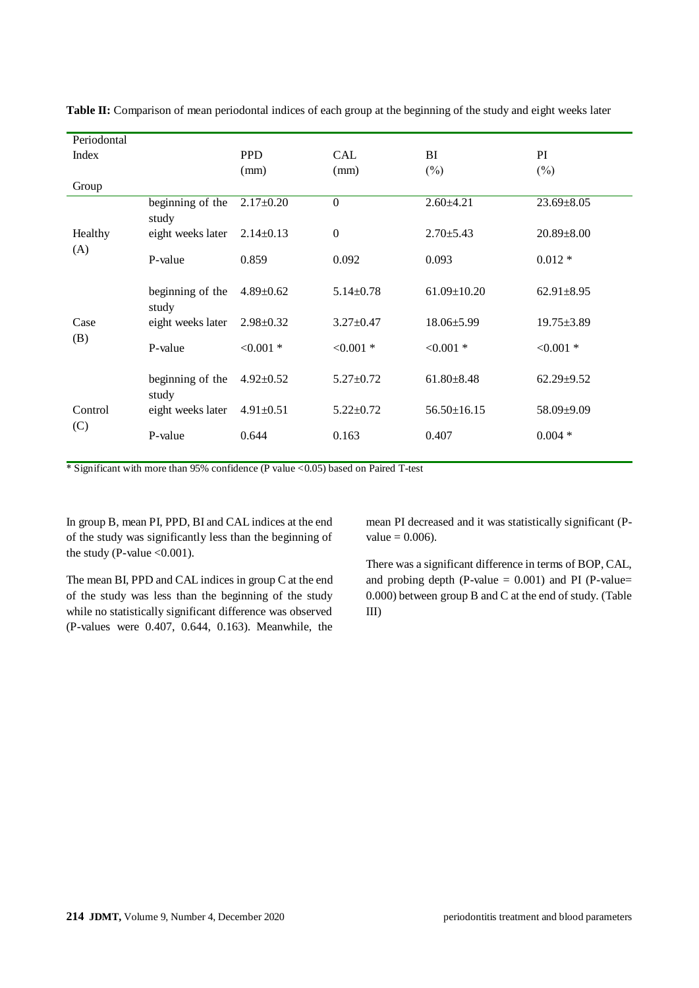| Periodontal |                           |                 |                 |                   |                  |
|-------------|---------------------------|-----------------|-----------------|-------------------|------------------|
| Index       |                           | <b>PPD</b>      | CAL             | BI                | PI               |
|             |                           | (mm)            | (mm)            | $(\%)$            | $(\%)$           |
| Group       |                           |                 |                 |                   |                  |
|             | beginning of the<br>study | $2.17 \pm 0.20$ | $\overline{0}$  | $2.60 \pm 4.21$   | $23.69 \pm 8.05$ |
| Healthy     | eight weeks later         | $2.14 \pm 0.13$ | $\mathbf{0}$    | $2.70 \pm 5.43$   | $20.89 \pm 8.00$ |
| (A)         | P-value                   | 0.859           | 0.092           | 0.093             | $0.012 *$        |
|             | beginning of the<br>study | $4.89 \pm 0.62$ | $5.14 \pm 0.78$ | $61.09 \pm 10.20$ | $62.91 \pm 8.95$ |
| Case<br>(B) | eight weeks later         | $2.98 \pm 0.32$ | $3.27 \pm 0.47$ | $18.06 \pm 5.99$  | $19.75 \pm 3.89$ |
|             | P-value                   | $< 0.001$ *     | $< 0.001$ *     | $< 0.001$ *       | $< 0.001$ *      |
|             | beginning of the<br>study | $4.92 \pm 0.52$ | $5.27 \pm 0.72$ | $61.80 \pm 8.48$  | $62.29 \pm 9.52$ |
| Control     | eight weeks later         | $4.91 \pm 0.51$ | $5.22 \pm 0.72$ | $56.50 \pm 16.15$ | 58.09±9.09       |
| (C)         | P-value                   | 0.644           | 0.163           | 0.407             | $0.004*$         |

**Table II:** Comparison of mean periodontal indices of each group at the beginning of the study and eight weeks later

\* Significant with more than 95% confidence (P value <0.05) based on Paired T-test

In group B, mean PI, PPD, BI and CAL indices at the end of the study was significantly less than the beginning of the study (P-value  $< 0.001$ ).

The mean BI, PPD and CAL indices in group C at the end of the study was less than the beginning of the study while no statistically significant difference was observed (P-values were 0.407, 0.644, 0.163). Meanwhile, the mean PI decreased and it was statistically significant (P $value = 0.006$ .

There was a significant difference in terms of BOP, CAL, and probing depth (P-value  $= 0.001$ ) and PI (P-value= 0.000) between group B and C at the end of study. (Table III)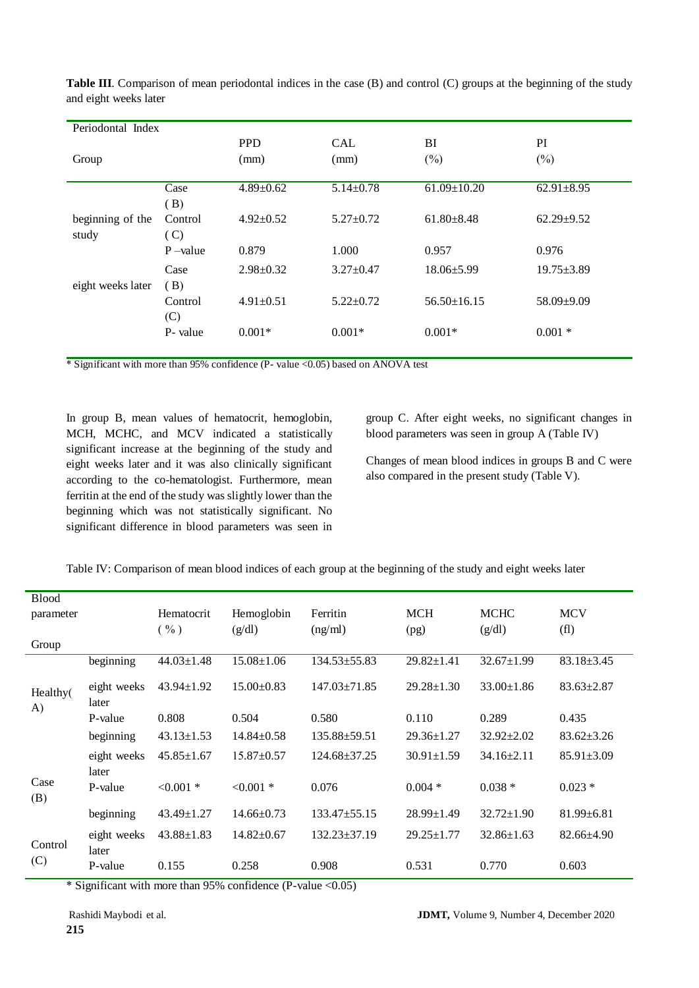| Periodontal Index |            |                 |                 |                   |                  |  |  |
|-------------------|------------|-----------------|-----------------|-------------------|------------------|--|--|
|                   |            | <b>PPD</b>      | <b>CAL</b>      | BI                | PI               |  |  |
| Group             |            | (mm)            | (mm)            | $(\% )$           | $(\%)$           |  |  |
|                   |            |                 |                 |                   |                  |  |  |
|                   | Case       | $4.89 \pm 0.62$ | $5.14 \pm 0.78$ | $61.09 \pm 10.20$ | $62.91 \pm 8.95$ |  |  |
|                   | (B)        |                 |                 |                   |                  |  |  |
| beginning of the  | Control    | $4.92 \pm 0.52$ | $5.27 \pm 0.72$ | $61.80 \pm 8.48$  | $62.29 \pm 9.52$ |  |  |
| study             | (C)        |                 |                 |                   |                  |  |  |
|                   | $P$ –value | 0.879           | 1.000           | 0.957             | 0.976            |  |  |
|                   | Case       | $2.98 \pm 0.32$ | $3.27 \pm 0.47$ | $18.06 \pm 5.99$  | $19.75 \pm 3.89$ |  |  |
| eight weeks later | (B)        |                 |                 |                   |                  |  |  |
|                   | Control    | $4.91 \pm 0.51$ | $5.22 \pm 0.72$ | $56.50 \pm 16.15$ | 58.09±9.09       |  |  |
|                   | (C)        |                 |                 |                   |                  |  |  |
|                   | P- value   | $0.001*$        | $0.001*$        | $0.001*$          | $0.001 *$        |  |  |
|                   |            |                 |                 |                   |                  |  |  |

**Table III**. Comparison of mean periodontal indices in the case (B) and control (C) groups at the beginning of the study and eight weeks later

\* Significant with more than 95% confidence (P- value <0.05) based on ANOVA test

In group B, mean values of hematocrit, hemoglobin, MCH, MCHC, and MCV indicated a statistically significant increase at the beginning of the study and eight weeks later and it was also clinically significant according to the co-hematologist. Furthermore, mean ferritin at the end of the study was slightly lower than the beginning which was not statistically significant. No significant difference in blood parameters was seen in group C. After eight weeks, no significant changes in blood parameters was seen in group A (Table IV)

Changes of mean blood indices in groups B and C were also compared in the present study (Table V).

| Table IV: Comparison of mean blood indices of each group at the beginning of the study and eight weeks later |  |  |
|--------------------------------------------------------------------------------------------------------------|--|--|
|                                                                                                              |  |  |

| <b>Blood</b>   |                      |                  |                  |                    |                  |                  |                   |
|----------------|----------------------|------------------|------------------|--------------------|------------------|------------------|-------------------|
| parameter      |                      | Hematocrit       | Hemoglobin       | Ferritin           | <b>MCH</b>       | <b>MCHC</b>      | <b>MCV</b>        |
|                |                      | $(\%)$           | (g/dl)           | (ng/ml)            | (pg)             | (g/dl)           | (f <sub>1</sub> ) |
| Group          |                      |                  |                  |                    |                  |                  |                   |
|                | beginning            | $44.03 \pm 1.48$ | $15.08 \pm 1.06$ | $134.53 \pm 55.83$ | $29.82 \pm 1.41$ | $32.67 \pm 1.99$ | $83.18 \pm 3.45$  |
| Healthy(<br>A) | eight weeks<br>later | $43.94 \pm 1.92$ | $15.00 \pm 0.83$ | $147.03 \pm 71.85$ | $29.28 \pm 1.30$ | $33.00 \pm 1.86$ | $83.63 \pm 2.87$  |
|                | P-value              | 0.808            | 0.504            | 0.580              | 0.110            | 0.289            | 0.435             |
|                | beginning            | $43.13 \pm 1.53$ | $14.84 \pm 0.58$ | $135.88 \pm 59.51$ | $29.36 \pm 1.27$ | $32.92 \pm 2.02$ | $83.62 \pm 3.26$  |
|                | eight weeks<br>later | $45.85 \pm 1.67$ | $15.87 \pm 0.57$ | $124.68 \pm 37.25$ | $30.91 \pm 1.59$ | $34.16 \pm 2.11$ | $85.91 \pm 3.09$  |
| Case<br>(B)    | P-value              | $< 0.001$ *      | $< 0.001$ *      | 0.076              | $0.004*$         | $0.038*$         | $0.023*$          |
|                | beginning            | $43.49 \pm 1.27$ | $14.66 \pm 0.73$ | $133.47 \pm 55.15$ | $28.99 \pm 1.49$ | $32.72 \pm 1.90$ | $81.99 \pm 6.81$  |
| Control        | eight weeks<br>later | $43.88 \pm 1.83$ | $14.82 \pm 0.67$ | $132.23 \pm 37.19$ | $29.25 \pm 1.77$ | $32.86 \pm 1.63$ | 82.66±4.90        |
| (C)            | P-value              | 0.155            | 0.258            | 0.908              | 0.531            | 0.770            | 0.603             |

\* Significant with more than 95% confidence (P-value <0.05)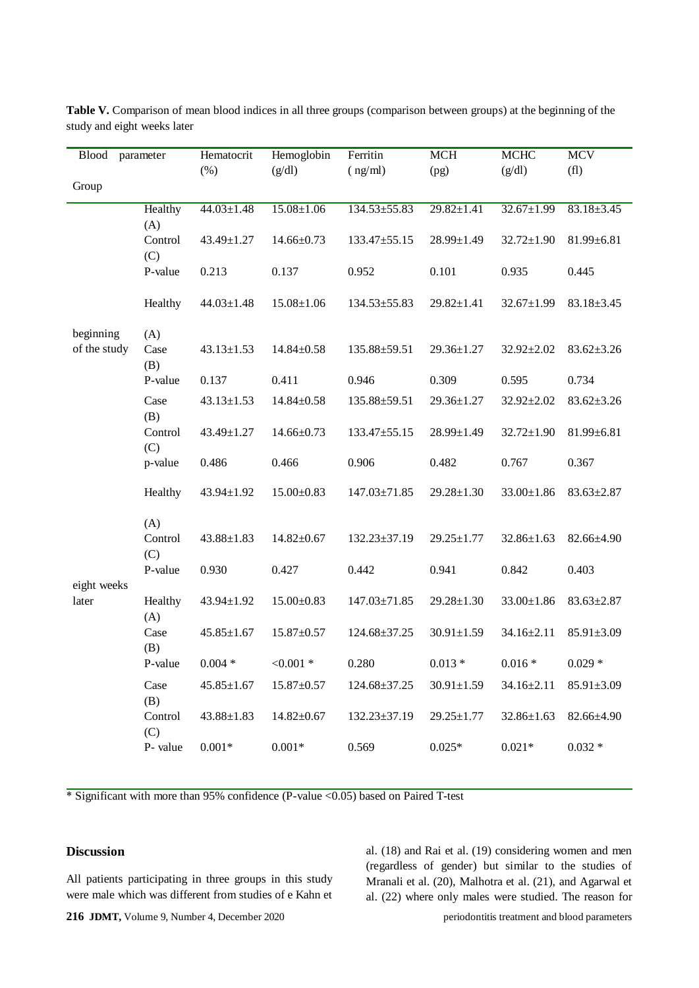| <b>Blood</b> | parameter      | Hematocrit       | Hemoglobin       | Ferritin           | <b>MCH</b>       | <b>MCHC</b>      | <b>MCV</b>       |
|--------------|----------------|------------------|------------------|--------------------|------------------|------------------|------------------|
|              |                | $(\%)$           | (g/dl)           | (ng/ml)            | (pg)             | (g/dl)           | (f1)             |
| Group        |                |                  |                  |                    |                  |                  |                  |
|              | Healthy<br>(A) | $44.03 \pm 1.48$ | $15.08 \pm 1.06$ | $134.53 \pm 55.83$ | $29.82 \pm 1.41$ | $32.67 \pm 1.99$ | $83.18 \pm 3.45$ |
|              | Control<br>(C) | 43.49±1.27       | $14.66 \pm 0.73$ | 133.47±55.15       | $28.99 \pm 1.49$ | $32.72 \pm 1.90$ | $81.99 \pm 6.81$ |
|              | P-value        | 0.213            | 0.137            | 0.952              | 0.101            | 0.935            | 0.445            |
|              | Healthy        | $44.03 \pm 1.48$ | $15.08 \pm 1.06$ | $134.53 \pm 55.83$ | $29.82 \pm 1.41$ | $32.67 \pm 1.99$ | $83.18 \pm 3.45$ |
| beginning    | (A)            |                  |                  |                    |                  |                  |                  |
| of the study | Case<br>(B)    | $43.13 \pm 1.53$ | $14.84 \pm 0.58$ | 135.88±59.51       | 29.36±1.27       | 32.92±2.02       | $83.62 \pm 3.26$ |
|              | P-value        | 0.137            | 0.411            | 0.946              | 0.309            | 0.595            | 0.734            |
|              | Case<br>(B)    | $43.13 \pm 1.53$ | $14.84 \pm 0.58$ | 135.88±59.51       | $29.36 \pm 1.27$ | 32.92±2.02       | $83.62 \pm 3.26$ |
|              | Control<br>(C) | 43.49±1.27       | $14.66 \pm 0.73$ | 133.47±55.15       | 28.99±1.49       | $32.72 \pm 1.90$ | $81.99 \pm 6.81$ |
|              | p-value        | 0.486            | 0.466            | 0.906              | 0.482            | 0.767            | 0.367            |
|              | Healthy        | 43.94±1.92       | $15.00 \pm 0.83$ | 147.03±71.85       | 29.28±1.30       | $33.00 \pm 1.86$ | $83.63 \pm 2.87$ |
|              | (A)            |                  |                  |                    |                  |                  |                  |
|              | Control<br>(C) | $43.88 \pm 1.83$ | $14.82 \pm 0.67$ | $132.23 \pm 37.19$ | $29.25 \pm 1.77$ | $32.86 \pm 1.63$ | 82.66±4.90       |
| eight weeks  | P-value        | 0.930            | 0.427            | 0.442              | 0.941            | 0.842            | 0.403            |
| later        | Healthy<br>(A) | 43.94±1.92       | $15.00 \pm 0.83$ | $147.03 \pm 71.85$ | $29.28 \pm 1.30$ | $33.00 \pm 1.86$ | $83.63 \pm 2.87$ |
|              | Case<br>(B)    | $45.85 \pm 1.67$ | $15.87 \pm 0.57$ | 124.68±37.25       | $30.91 \pm 1.59$ | 34.16±2.11       | $85.91 \pm 3.09$ |
|              | P-value        | $0.004*$         | $< 0.001$ *      | 0.280              | $0.013*$         | $0.016*$         | $0.029*$         |
|              | Case<br>(B)    | $45.85 \pm 1.67$ | $15.87 \pm 0.57$ | 124.68±37.25       | $30.91 \pm 1.59$ | $34.16 \pm 2.11$ | $85.91 \pm 3.09$ |
|              | Control<br>(C) | $43.88 \pm 1.83$ | $14.82 \pm 0.67$ | 132.23±37.19       | $29.25 \pm 1.77$ | 32.86±1.63       | 82.66±4.90       |
|              | P-value        | $0.001*$         | $0.001*$         | 0.569              | $0.025*$         | $0.021*$         | $0.032 *$        |

**Table V.** Comparison of mean blood indices in all three groups (comparison between groups) at the beginning of the study and eight weeks later

\* Significant with more than 95% confidence (P-value <0.05) based on Paired T-test

# **Discussion**

All patients participating in three groups in this study were male which was different from studies of e Kahn et al. (18) and Rai et al. (19) considering women and men (regardless of gender) but similar to the studies of Mranali et al. (20), Malhotra et al. (21), and Agarwal et al. (22) where only males were studied. The reason for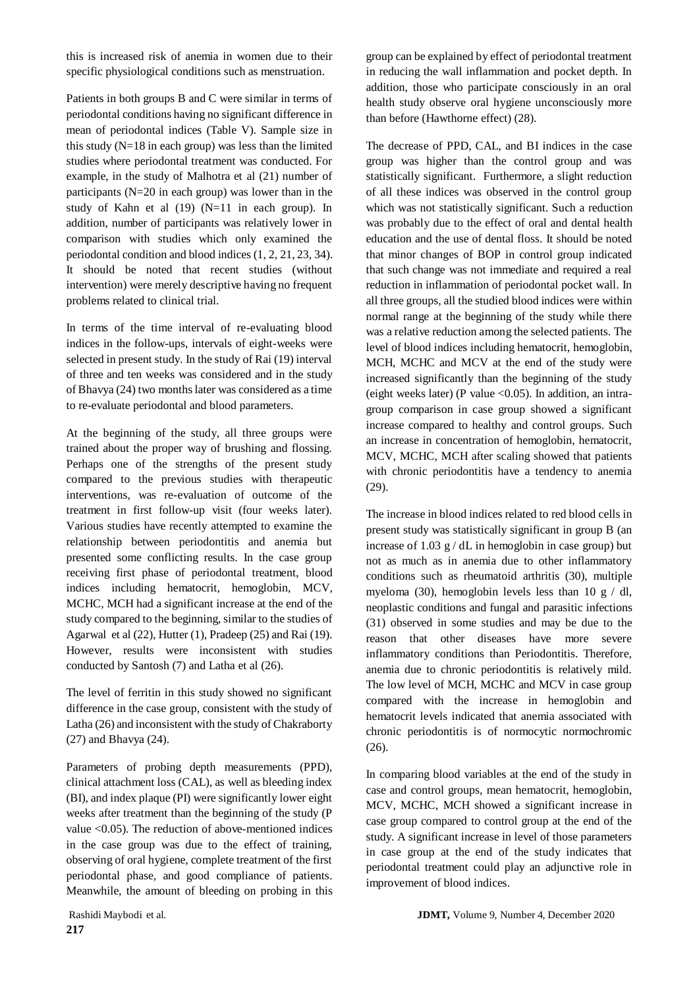this is increased risk of anemia in women due to their specific physiological conditions such as menstruation.

Patients in both groups B and C were similar in terms of periodontal conditions having no significant difference in mean of periodontal indices (Table V). Sample size in this study (N=18 in each group) was less than the limited studies where periodontal treatment was conducted. For example, in the study of Malhotra et al (21) number of participants (N=20 in each group) was lower than in the study of Kahn et al (19) (N=11 in each group). In addition, number of participants was relatively lower in comparison with studies which only examined the periodontal condition and blood indices (1, 2, 21, 23, 34). It should be noted that recent studies (without intervention) were merely descriptive having no frequent problems related to clinical trial.

In terms of the time interval of re-evaluating blood indices in the follow-ups, intervals of eight-weeks were selected in present study. In the study of Rai (19) interval of three and ten weeks was considered and in the study of Bhavya (24) two months later was considered as a time to re-evaluate periodontal and blood parameters.

At the beginning of the study, all three groups were trained about the proper way of brushing and flossing. Perhaps one of the strengths of the present study compared to the previous studies with therapeutic interventions, was re-evaluation of outcome of the treatment in first follow-up visit (four weeks later). Various studies have recently attempted to examine the relationship between periodontitis and anemia but presented some conflicting results. In the case group receiving first phase of periodontal treatment, blood indices including hematocrit, hemoglobin, MCV, MCHC, MCH had a significant increase at the end of the study compared to the beginning, similar to the studies of Agarwal et al (22), Hutter (1), Pradeep (25) and Rai (19). However, results were inconsistent with studies conducted by Santosh (7) and Latha et al (26).

The level of ferritin in this study showed no significant difference in the case group, consistent with the study of Latha (26) and inconsistent with the study of Chakraborty (27) and Bhavya (24).

Parameters of probing depth measurements (PPD), clinical attachment loss (CAL), as well as bleeding index (BI), and index plaque (PI) were significantly lower eight weeks after treatment than the beginning of the study (P value <0.05). The reduction of above-mentioned indices in the case group was due to the effect of training, observing of oral hygiene, complete treatment of the first periodontal phase, and good compliance of patients. Meanwhile, the amount of bleeding on probing in this

group can be explained by effect of periodontal treatment in reducing the wall inflammation and pocket depth. In addition, those who participate consciously in an oral health study observe oral hygiene unconsciously more than before (Hawthorne effect) (28).

The decrease of PPD, CAL, and BI indices in the case group was higher than the control group and was statistically significant. Furthermore, a slight reduction of all these indices was observed in the control group which was not statistically significant. Such a reduction was probably due to the effect of oral and dental health education and the use of dental floss. It should be noted that minor changes of BOP in control group indicated that such change was not immediate and required a real reduction in inflammation of periodontal pocket wall. In all three groups, all the studied blood indices were within normal range at the beginning of the study while there was a relative reduction among the selected patients. The level of blood indices including hematocrit, hemoglobin, MCH, MCHC and MCV at the end of the study were increased significantly than the beginning of the study (eight weeks later) (P value <  $0.05$ ). In addition, an intragroup comparison in case group showed a significant increase compared to healthy and control groups. Such an increase in concentration of hemoglobin, hematocrit, MCV, MCHC, MCH after scaling showed that patients with chronic periodontitis have a tendency to anemia (29).

The increase in blood indices related to red blood cells in present study was statistically significant in group B (an increase of 1.03  $g/dL$  in hemoglobin in case group) but not as much as in anemia due to other inflammatory conditions such as rheumatoid arthritis (30), multiple myeloma (30), hemoglobin levels less than 10 g  $/$  dl, neoplastic conditions and fungal and parasitic infections (31) observed in some studies and may be due to the reason that other diseases have more severe inflammatory conditions than Periodontitis. Therefore, anemia due to chronic periodontitis is relatively mild. The low level of MCH, MCHC and MCV in case group compared with the increase in hemoglobin and hematocrit levels indicated that anemia associated with chronic periodontitis is of normocytic normochromic (26).

In comparing blood variables at the end of the study in case and control groups, mean hematocrit, hemoglobin, MCV, MCHC, MCH showed a significant increase in case group compared to control group at the end of the study. A significant increase in level of those parameters in case group at the end of the study indicates that periodontal treatment could play an adjunctive role in improvement of blood indices.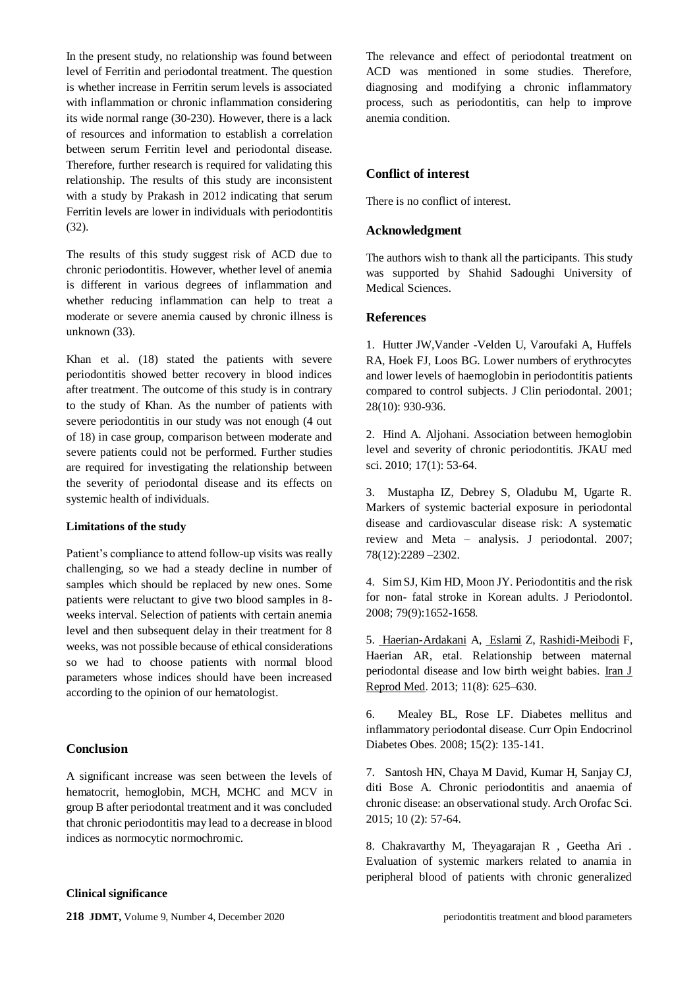In the present study, no relationship was found between level of Ferritin and periodontal treatment. The question is whether increase in Ferritin serum levels is associated with inflammation or chronic inflammation considering its wide normal range (30-230). However, there is a lack of resources and information to establish a correlation between serum Ferritin level and periodontal disease. Therefore, further research is required for validating this relationship. The results of this study are inconsistent with a study by Prakash in 2012 indicating that serum Ferritin levels are lower in individuals with periodontitis (32).

The results of this study suggest risk of ACD due to chronic periodontitis. However, whether level of anemia is different in various degrees of inflammation and whether reducing inflammation can help to treat a moderate or severe anemia caused by chronic illness is unknown (33).

Khan et al. (18) stated the patients with severe periodontitis showed better recovery in blood indices after treatment. The outcome of this study is in contrary to the study of Khan. As the number of patients with severe periodontitis in our study was not enough (4 out of 18) in case group, comparison between moderate and severe patients could not be performed. Further studies are required for investigating the relationship between the severity of periodontal disease and its effects on systemic health of individuals.

#### **Limitations of the study**

Patient's compliance to attend follow-up visits was really challenging, so we had a steady decline in number of samples which should be replaced by new ones. Some patients were reluctant to give two blood samples in 8 weeks interval. Selection of patients with certain anemia level and then subsequent delay in their treatment for 8 weeks, was not possible because of ethical considerations so we had to choose patients with normal blood parameters whose indices should have been increased according to the opinion of our hematologist.

#### **Conclusion**

A significant increase was seen between the levels of hematocrit, hemoglobin, MCH, MCHC and MCV in group B after periodontal treatment and it was concluded that chronic periodontitis may lead to a decrease in blood indices as normocytic normochromic.

#### **Clinical significance**

**218** JDMT, Volume 9, Number 4, December 2020 periodontitis treatment and blood parameters

The relevance and effect of periodontal treatment on ACD was mentioned in some studies. Therefore, diagnosing and modifying a chronic inflammatory process, such as periodontitis, can help to improve anemia condition.

#### **Conflict of interest**

There is no conflict of interest.

#### **Acknowledgment**

The authors wish to thank all the participants. This study was supported by Shahid Sadoughi University of Medical Sciences.

#### **References**

1. Hutter JW,Vander -Velden U, Varoufaki A, Huffels RA, Hoek FJ, Loos BG. Lower numbers of erythrocytes and lower levels of haemoglobin in periodontitis patients compared to control subjects. J Clin periodontal. 2001; 28(10): 930-936.

2. Hind A. Aljohani. Association between hemoglobin level and severity of chronic periodontitis. JKAU med sci. 2010; 17(1): 53-64.

3. Mustapha IZ, Debrey S, Oladubu M, Ugarte R. Markers of systemic bacterial exposure in periodontal disease and cardiovascular disease risk: A systematic review and Meta – analysis. J periodontal. 2007; 78(12):2289 –2302.

4. Sim SJ, Kim HD, Moon JY. Periodontitis and the risk for non- fatal stroke in Korean adults. J Periodontol. 2008; 79(9):1652-1658.

5. [Haerian-Ardakani](https://www.ncbi.nlm.nih.gov/pubmed/?term=Haerian-Ardakani%20A%5BAuthor%5D&cauthor=true&cauthor_uid=24639799) A, [Eslami](https://www.ncbi.nlm.nih.gov/pubmed/?term=Eslami%20Z%5BAuthor%5D&cauthor=true&cauthor_uid=24639799) Z, [Rashidi-Meibodi](https://www.ncbi.nlm.nih.gov/pubmed/?term=Rashidi-Meibodi%20F%5BAuthor%5D&cauthor=true&cauthor_uid=24639799) F, Haerian AR, etal. Relationship between maternal periodontal disease and low birth weight babies. [Iran J](https://www.ncbi.nlm.nih.gov/pmc/articles/PMC3941365/)  [Reprod Med.](https://www.ncbi.nlm.nih.gov/pmc/articles/PMC3941365/) 2013; 11(8): 625–630.

6. Mealey BL, Rose LF. Diabetes mellitus and inflammatory periodontal disease. Curr Opin Endocrinol Diabetes Obes. 2008; 15(2): 135-141.

7. Santosh HN, Chaya M David, Kumar H, Sanjay CJ, diti Bose A. Chronic periodontitis and anaemia of chronic disease: an observational study. Arch Orofac Sci. 2015; 10 (2): 57-64.

8. Chakravarthy M, Theyagarajan R , Geetha Ari . Evaluation of systemic markers related to anamia in peripheral blood of patients with chronic generalized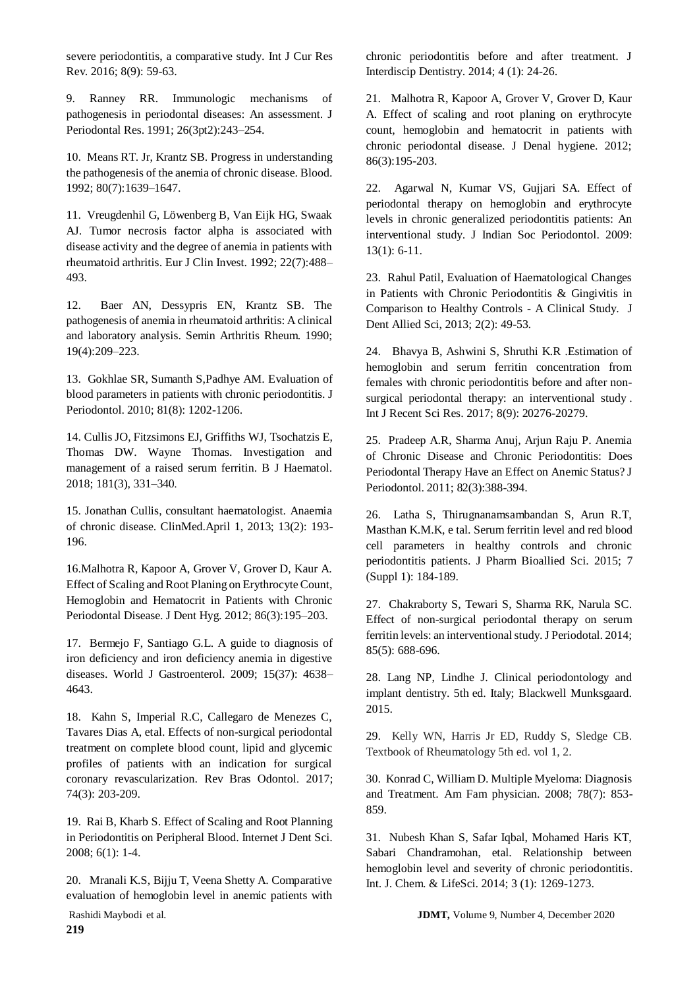severe periodontitis, a comparative study. Int J Cur Res Rev. 2016; 8(9): 59-63.

9. Ranney RR. Immunologic mechanisms of pathogenesis in periodontal diseases: An assessment. J Periodontal Res. 1991; 26(3pt2):243–254.

10. Means RT. Jr, Krantz SB. Progress in understanding the pathogenesis of the anemia of chronic disease. Blood. 1992; 80(7):1639–1647.

11. Vreugdenhil G, Löwenberg B, Van Eijk HG, Swaak AJ. Tumor necrosis factor alpha is associated with disease activity and the degree of anemia in patients with rheumatoid arthritis. Eur J Clin Invest. 1992; 22(7):488– 493.

12. Baer AN, Dessypris EN, Krantz SB. The pathogenesis of anemia in rheumatoid arthritis: A clinical and laboratory analysis. Semin Arthritis Rheum. 1990; 19(4):209–223.

13. Gokhlae SR, Sumanth S,Padhye AM. Evaluation of blood parameters in patients with chronic periodontitis. J Periodontol. 2010; 81(8): 1202-1206.

14. Cullis JO, Fitzsimons EJ, Griffiths WJ, Tsochatzis E, Thomas DW. Wayne Thomas. Investigation and management of a raised serum ferritin. B J Haematol. 2018; 181(3), 331–340.

15. [Jonathan Cullis,](http://www.clinmed.rcpjournal.org/search?author1=Jonathan+Cullis&sortspec=date&submit=Submit) consultant haematologist. Anaemia of chronic disease. ClinMed.April 1, 2013; 13(2): 193- 196.

16.Malhotra R, Kapoor A, Grover V, Grover D, Kaur A. Effect of Scaling and Root Planing on Erythrocyte Count, Hemoglobin and Hematocrit in Patients with Chronic Periodontal Disease. J Dent Hyg. 2012; 86(3):195–203.

17. Bermejo F, Santiago G.L. A guide to diagnosis of iron deficiency and iron deficiency anemia in digestive diseases. World J Gastroenterol. 2009; 15(37): 4638– 4643.

18. Kahn S, Imperial R.C, Callegaro de Menezes C, Tavares Dias A, etal. Effects of non-surgical periodontal treatment on complete blood count, lipid and glycemic profiles of patients with an indication for surgical coronary revascularization. Rev Bras Odontol. 2017; 74(3): 203-209.

19. Rai B, Kharb S. Effect of Scaling and Root Planning in Periodontitis on Peripheral Blood. Internet J Dent Sci. 2008; 6(1): 1-4.

20. Mranali K.S, Bijju T, Veena Shetty A. Comparative evaluation of hemoglobin level in anemic patients with chronic periodontitis before and after treatment. J Interdiscip Dentistry. 2014; 4 (1): 24-26.

21. Malhotra R, Kapoor A, Grover V, Grover D, Kaur A. Effect of scaling and root planing on erythrocyte count, hemoglobin and hematocrit in patients with chronic periodontal disease. J Denal hygiene. 2012; 86(3):195-203.

22. Agarwal N, Kumar VS, Gujjari SA. Effect of periodontal therapy on hemoglobin and erythrocyte levels in chronic generalized periodontitis patients: An interventional study. J Indian Soc Periodontol. 2009: 13(1): 6-11.

23. Rahul Patil, Evaluation of Haematological Changes in Patients with Chronic Periodontitis & Gingivitis in Comparison to Healthy Controls - A Clinical Study. J Dent Allied Sci, 2013; 2(2): 49-53*.*

24. Bhavya B, Ashwini S, Shruthi K.R .Estimation of hemoglobin and serum ferritin concentration from females with chronic periodontitis before and after nonsurgical periodontal therapy: an interventional study . Int J Recent Sci Res. 2017; 8(9): 20276-20279.

25. Pradeep A.R, Sharma Anuj, Arjun Raju P. Anemia of Chronic Disease and Chronic Periodontitis: Does Periodontal Therapy Have an Effect on Anemic Status? J Periodontol. 2011; 82(3):388-394.

26. Latha S, Thirugnanamsambandan S, Arun R.T, Masthan K.M.K, e tal. Serum ferritin level and red blood cell parameters in healthy controls and chronic periodontitis patients. J Pharm Bioallied Sci. 2015; 7 (Suppl 1): 184-189.

27. Chakraborty S, Tewari S, Sharma RK, Narula SC. Effect of non-surgical periodontal therapy on serum ferritin levels: an interventional study. J Periodotal. 2014; 85(5): 688-696.

28. Lang NP, Lindhe J. Clinical periodontology and implant dentistry. 5th ed. Italy; Blackwell Munksgaard. 2015.

29. Kelly WN, Harris Jr ED, Ruddy S, Sledge CB. Textbook of Rheumatology 5th ed. vol 1, 2.

30. Konrad C, William D. Multiple Myeloma: Diagnosis and Treatment. Am Fam physician. 2008; 78(7): 853- 859.

31. Nubesh Khan S, Safar Iqbal, Mohamed Haris KT, Sabari Chandramohan, etal. Relationship between hemoglobin level and severity of chronic periodontitis. Int. J. Chem. & LifeSci. 2014; 3 (1): 1269-1273.

Rashidi Maybodi et al. **JDMT,** Volume 9, Number 4, December 2020